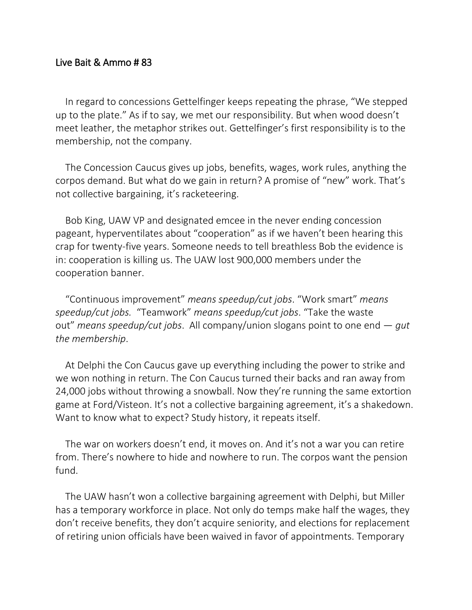## Live Bait & Ammo # 83

In regard to concessions Gettelfinger keeps repeating the phrase, "We stepped up to the plate." As if to say, we met our responsibility. But when wood doesn't meet leather, the metaphor strikes out. Gettelfinger's first responsibility is to the membership, not the company.

The Concession Caucus gives up jobs, benefits, wages, work rules, anything the corpos demand. But what do we gain in return? A promise of "new" work. That's not collective bargaining, it's racketeering.

Bob King, UAW VP and designated emcee in the never ending concession pageant, hyperventilates about "cooperation" as if we haven't been hearing this crap for twenty-five years. Someone needs to tell breathless Bob the evidence is in: cooperation is killing us. The UAW lost 900,000 members under the cooperation banner.

"Continuous improvement" *means speedup/cut jobs*. "Work smart" *means speedup/cut jobs.* "Teamwork" *means speedup/cut jobs*. "Take the waste out" *means speedup/cut jobs*. All company/union slogans point to one end — *gut the membership*.

At Delphi the Con Caucus gave up everything including the power to strike and we won nothing in return. The Con Caucus turned their backs and ran away from 24,000 jobs without throwing a snowball. Now they're running the same extortion game at Ford/Visteon. It's not a collective bargaining agreement, it's a shakedown. Want to know what to expect? Study history, it repeats itself.

The war on workers doesn't end, it moves on. And it's not a war you can retire from. There's nowhere to hide and nowhere to run. The corpos want the pension fund.

The UAW hasn't won a collective bargaining agreement with Delphi, but Miller has a temporary workforce in place. Not only do temps make half the wages, they don't receive benefits, they don't acquire seniority, and elections for replacement of retiring union officials have been waived in favor of appointments. Temporary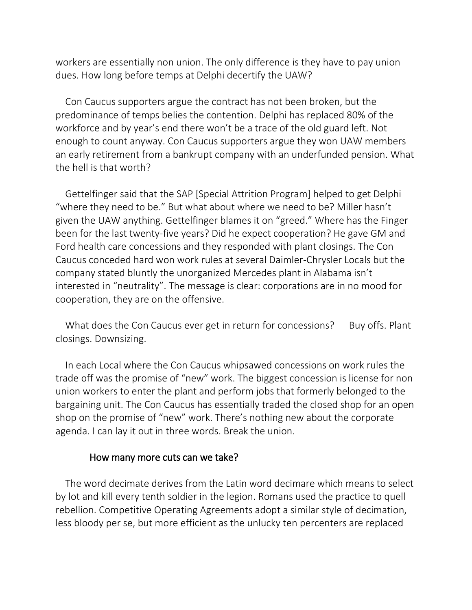workers are essentially non union. The only difference is they have to pay union dues. How long before temps at Delphi decertify the UAW?

Con Caucus supporters argue the contract has not been broken, but the predominance of temps belies the contention. Delphi has replaced 80% of the workforce and by year's end there won't be a trace of the old guard left. Not enough to count anyway. Con Caucus supporters argue they won UAW members an early retirement from a bankrupt company with an underfunded pension. What the hell is that worth?

Gettelfinger said that the SAP [Special Attrition Program] helped to get Delphi "where they need to be." But what about where we need to be? Miller hasn't given the UAW anything. Gettelfinger blames it on "greed." Where has the Finger been for the last twenty-five years? Did he expect cooperation? He gave GM and Ford health care concessions and they responded with plant closings. The Con Caucus conceded hard won work rules at several Daimler-Chrysler Locals but the company stated bluntly the unorganized Mercedes plant in Alabama isn't interested in "neutrality". The message is clear: corporations are in no mood for cooperation, they are on the offensive.

What does the Con Caucus ever get in return for concessions? Buy offs. Plant closings. Downsizing.

In each Local where the Con Caucus whipsawed concessions on work rules the trade off was the promise of "new" work. The biggest concession is license for non union workers to enter the plant and perform jobs that formerly belonged to the bargaining unit. The Con Caucus has essentially traded the closed shop for an open shop on the promise of "new" work. There's nothing new about the corporate agenda. I can lay it out in three words. Break the union.

## How many more cuts can we take?

The word decimate derives from the Latin word decimare which means to select by lot and kill every tenth soldier in the legion. Romans used the practice to quell rebellion. Competitive Operating Agreements adopt a similar style of decimation, less bloody per se, but more efficient as the unlucky ten percenters are replaced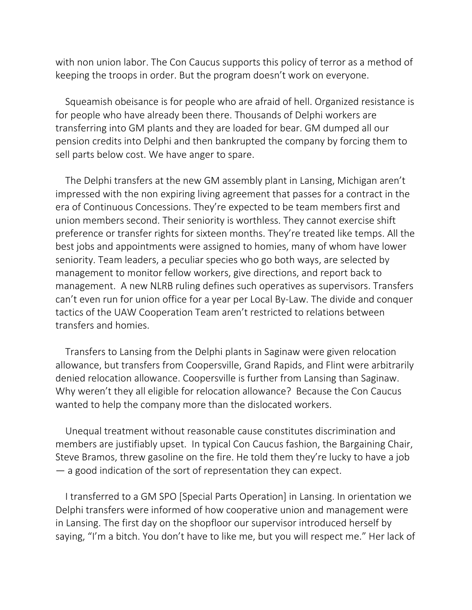with non union labor. The Con Caucus supports this policy of terror as a method of keeping the troops in order. But the program doesn't work on everyone.

Squeamish obeisance is for people who are afraid of hell. Organized resistance is for people who have already been there. Thousands of Delphi workers are transferring into GM plants and they are loaded for bear. GM dumped all our pension credits into Delphi and then bankrupted the company by forcing them to sell parts below cost. We have anger to spare.

The Delphi transfers at the new GM assembly plant in Lansing, Michigan aren't impressed with the non expiring living agreement that passes for a contract in the era of Continuous Concessions. They're expected to be team members first and union members second. Their seniority is worthless. They cannot exercise shift preference or transfer rights for sixteen months. They're treated like temps. All the best jobs and appointments were assigned to homies, many of whom have lower seniority. Team leaders, a peculiar species who go both ways, are selected by management to monitor fellow workers, give directions, and report back to management. A new NLRB ruling defines such operatives as supervisors. Transfers can't even run for union office for a year per Local By-Law. The divide and conquer tactics of the UAW Cooperation Team aren't restricted to relations between transfers and homies.

Transfers to Lansing from the Delphi plants in Saginaw were given relocation allowance, but transfers from Coopersville, Grand Rapids, and Flint were arbitrarily denied relocation allowance. Coopersville is further from Lansing than Saginaw. Why weren't they all eligible for relocation allowance? Because the Con Caucus wanted to help the company more than the dislocated workers.

Unequal treatment without reasonable cause constitutes discrimination and members are justifiably upset. In typical Con Caucus fashion, the Bargaining Chair, Steve Bramos, threw gasoline on the fire. He told them they're lucky to have a job — a good indication of the sort of representation they can expect.

I transferred to a GM SPO [Special Parts Operation] in Lansing. In orientation we Delphi transfers were informed of how cooperative union and management were in Lansing. The first day on the shopfloor our supervisor introduced herself by saying, "I'm a bitch. You don't have to like me, but you will respect me." Her lack of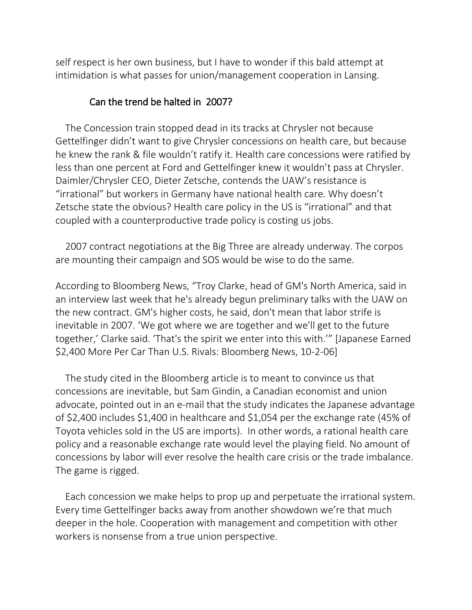self respect is her own business, but I have to wonder if this bald attempt at intimidation is what passes for union/management cooperation in Lansing.

## Can the trend be halted in 2007?

The Concession train stopped dead in its tracks at Chrysler not because Gettelfinger didn't want to give Chrysler concessions on health care, but because he knew the rank & file wouldn't ratify it. Health care concessions were ratified by less than one percent at Ford and Gettelfinger knew it wouldn't pass at Chrysler. Daimler/Chrysler CEO, Dieter Zetsche, contends the UAW's resistance is "irrational" but workers in Germany have national health care. Why doesn't Zetsche state the obvious? Health care policy in the US is "irrational" and that coupled with a counterproductive trade policy is costing us jobs.

2007 contract negotiations at the Big Three are already underway. The corpos are mounting their campaign and SOS would be wise to do the same.

According to Bloomberg News, "Troy Clarke, head of GM's North America, said in an interview last week that he's already begun preliminary talks with the UAW on the new contract. GM's higher costs, he said, don't mean that labor strife is inevitable in 2007. 'We got where we are together and we'll get to the future together,' Clarke said. 'That's the spirit we enter into this with.'" [Japanese Earned \$2,400 More Per Car Than U.S. Rivals: Bloomberg News, 10-2-06]

The study cited in the Bloomberg article is to meant to convince us that concessions are inevitable, but Sam Gindin, a Canadian economist and union advocate, pointed out in an e-mail that the study indicates the Japanese advantage of \$2,400 includes \$1,400 in healthcare and \$1,054 per the exchange rate (45% of Toyota vehicles sold in the US are imports). In other words, a rational health care policy and a reasonable exchange rate would level the playing field. No amount of concessions by labor will ever resolve the health care crisis or the trade imbalance. The game is rigged.

Each concession we make helps to prop up and perpetuate the irrational system. Every time Gettelfinger backs away from another showdown we're that much deeper in the hole. Cooperation with management and competition with other workers is nonsense from a true union perspective.